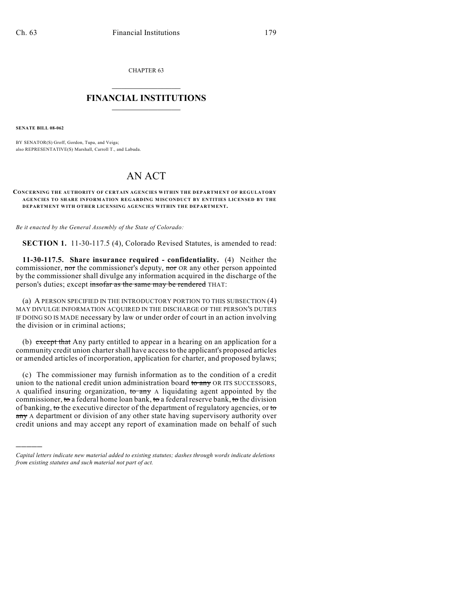CHAPTER 63

## $\mathcal{L}_\text{max}$  . The set of the set of the set of the set of the set of the set of the set of the set of the set of the set of the set of the set of the set of the set of the set of the set of the set of the set of the set **FINANCIAL INSTITUTIONS**  $\frac{1}{2}$  ,  $\frac{1}{2}$  ,  $\frac{1}{2}$  ,  $\frac{1}{2}$  ,  $\frac{1}{2}$  ,  $\frac{1}{2}$  ,  $\frac{1}{2}$

**SENATE BILL 08-062**

)))))

BY SENATOR(S) Groff, Gordon, Tupa, and Veiga; also REPRESENTATIVE(S) Marshall, Carroll T., and Labuda.

## AN ACT

## **CONCERNING THE AUTHORITY OF CERTAIN AGENCIES WITHIN THE DEPARTMENT OF REGULATORY AGENCIES TO SHARE INFORMATION REGARDING MISCONDUCT BY ENTITIES LICENSED BY THE DEPARTMENT WITH OTHER LICENSING AGENCIES WITHIN THE DEPARTMENT.**

*Be it enacted by the General Assembly of the State of Colorado:*

**SECTION 1.** 11-30-117.5 (4), Colorado Revised Statutes, is amended to read:

**11-30-117.5. Share insurance required - confidentiality.** (4) Neither the commissioner, nor the commissioner's deputy, nor OR any other person appointed by the commissioner shall divulge any information acquired in the discharge of the person's duties; except insofar as the same may be rendered THAT:

(a) A PERSON SPECIFIED IN THE INTRODUCTORY PORTION TO THIS SUBSECTION (4) MAY DIVULGE INFORMATION ACQUIRED IN THE DISCHARGE OF THE PERSON'S DUTIES IF DOING SO IS MADE necessary by law or under order of court in an action involving the division or in criminal actions;

(b) except that Any party entitled to appear in a hearing on an application for a community credit union charter shall have access to the applicant's proposed articles or amended articles of incorporation, application for charter, and proposed bylaws;

(c) The commissioner may furnish information as to the condition of a credit union to the national credit union administration board to any OR ITS SUCCESSORS, A qualified insuring organization,  $\overline{\text{to any}}$  A liquidating agent appointed by the commissioner, to a federal home loan bank, to a federal reserve bank, to the division of banking, to the executive director of the department of regulatory agencies, or to any A department or division of any other state having supervisory authority over credit unions and may accept any report of examination made on behalf of such

*Capital letters indicate new material added to existing statutes; dashes through words indicate deletions from existing statutes and such material not part of act.*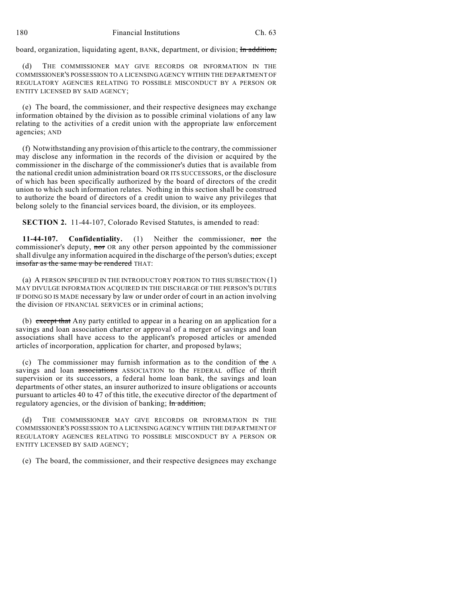board, organization, liquidating agent, BANK, department, or division; In addition,

(d) THE COMMISSIONER MAY GIVE RECORDS OR INFORMATION IN THE COMMISSIONER'S POSSESSION TO A LICENSING AGENCY WITHIN THE DEPARTMENT OF REGULATORY AGENCIES RELATING TO POSSIBLE MISCONDUCT BY A PERSON OR ENTITY LICENSED BY SAID AGENCY;

(e) The board, the commissioner, and their respective designees may exchange information obtained by the division as to possible criminal violations of any law relating to the activities of a credit union with the appropriate law enforcement agencies; AND

(f) Notwithstanding any provision of this article to the contrary, the commissioner may disclose any information in the records of the division or acquired by the commissioner in the discharge of the commissioner's duties that is available from the national credit union administration board OR ITS SUCCESSORS, or the disclosure of which has been specifically authorized by the board of directors of the credit union to which such information relates. Nothing in this section shall be construed to authorize the board of directors of a credit union to waive any privileges that belong solely to the financial services board, the division, or its employees.

**SECTION 2.** 11-44-107, Colorado Revised Statutes, is amended to read:

**11-44-107. Confidentiality.** (1) Neither the commissioner, nor the commissioner's deputy, nor OR any other person appointed by the commissioner shall divulge any information acquired in the discharge of the person's duties; except insofar as the same may be rendered THAT:

(a) A PERSON SPECIFIED IN THE INTRODUCTORY PORTION TO THIS SUBSECTION (1) MAY DIVULGE INFORMATION ACQUIRED IN THE DISCHARGE OF THE PERSON'S DUTIES IF DOING SO IS MADE necessary by law or under order of court in an action involving the division OF FINANCIAL SERVICES or in criminal actions;

(b) except that Any party entitled to appear in a hearing on an application for a savings and loan association charter or approval of a merger of savings and loan associations shall have access to the applicant's proposed articles or amended articles of incorporation, application for charter, and proposed bylaws;

(c) The commissioner may furnish information as to the condition of the A savings and loan associations ASSOCIATION to the FEDERAL office of thrift supervision or its successors, a federal home loan bank, the savings and loan departments of other states, an insurer authorized to insure obligations or accounts pursuant to articles 40 to 47 of this title, the executive director of the department of regulatory agencies, or the division of banking; In addition,

(d) THE COMMISSIONER MAY GIVE RECORDS OR INFORMATION IN THE COMMISSIONER'S POSSESSION TO A LICENSING AGENCY WITHIN THE DEPARTMENT OF REGULATORY AGENCIES RELATING TO POSSIBLE MISCONDUCT BY A PERSON OR ENTITY LICENSED BY SAID AGENCY;

(e) The board, the commissioner, and their respective designees may exchange